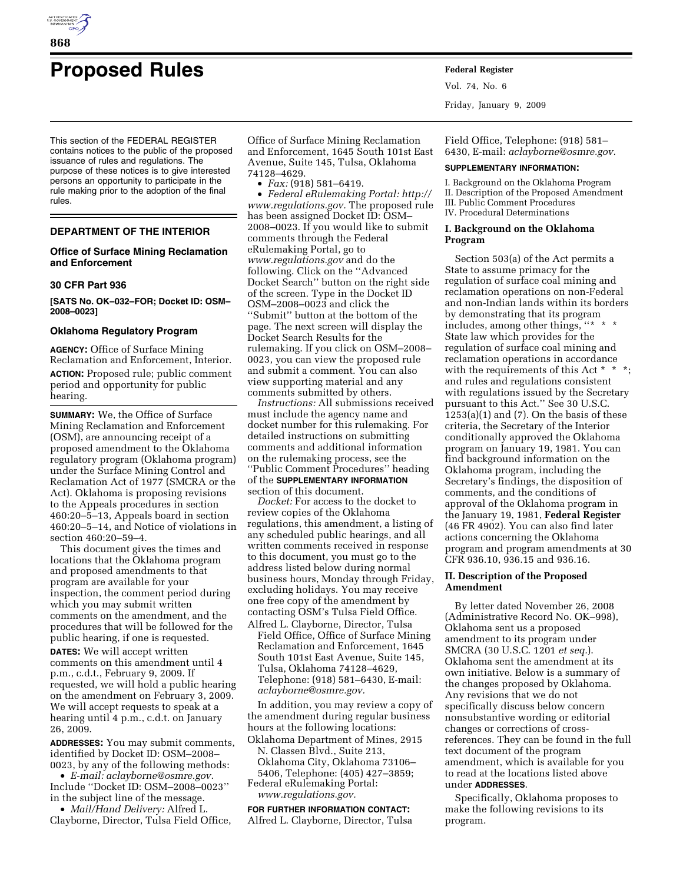

# **Proposed Rules Federal Register**

This section of the FEDERAL REGISTER contains notices to the public of the proposed issuance of rules and regulations. The purpose of these notices is to give interested persons an opportunity to participate in the rule making prior to the adoption of the final rules.

## **DEPARTMENT OF THE INTERIOR**

# **Office of Surface Mining Reclamation and Enforcement**

#### **30 CFR Part 936**

**[SATS No. OK–032–FOR; Docket ID: OSM– 2008–0023]** 

#### **Oklahoma Regulatory Program**

**AGENCY:** Office of Surface Mining Reclamation and Enforcement, Interior. **ACTION:** Proposed rule; public comment period and opportunity for public hearing.

**SUMMARY:** We, the Office of Surface Mining Reclamation and Enforcement (OSM), are announcing receipt of a proposed amendment to the Oklahoma regulatory program (Oklahoma program) under the Surface Mining Control and Reclamation Act of 1977 (SMCRA or the Act). Oklahoma is proposing revisions to the Appeals procedures in section 460:20–5–13, Appeals board in section 460:20–5–14, and Notice of violations in section 460:20–59–4.

This document gives the times and locations that the Oklahoma program and proposed amendments to that program are available for your inspection, the comment period during which you may submit written comments on the amendment, and the procedures that will be followed for the public hearing, if one is requested.

**DATES:** We will accept written comments on this amendment until 4 p.m., c.d.t., February 9, 2009. If requested, we will hold a public hearing on the amendment on February 3, 2009. We will accept requests to speak at a hearing until 4 p.m., c.d.t. on January 26, 2009.

**ADDRESSES:** You may submit comments, identified by Docket ID: OSM–2008– 0023, by any of the following methods:

• *E-mail: aclayborne@osmre.gov.*  Include ''Docket ID: OSM–2008–0023'' in the subject line of the message.

• *Mail/Hand Delivery:* Alfred L. Clayborne, Director, Tulsa Field Office,

Office of Surface Mining Reclamation and Enforcement, 1645 South 101st East Avenue, Suite 145, Tulsa, Oklahoma 74128–4629.

• *Fax:* (918) 581–6419.

• *Federal eRulemaking Portal: http:// www.regulations.gov.* The proposed rule has been assigned Docket ID: OSM– 2008–0023. If you would like to submit comments through the Federal eRulemaking Portal, go to *www.regulations.gov* and do the following. Click on the ''Advanced Docket Search'' button on the right side of the screen. Type in the Docket ID OSM–2008–0023 and click the ''Submit'' button at the bottom of the page. The next screen will display the Docket Search Results for the rulemaking. If you click on OSM–2008– 0023, you can view the proposed rule and submit a comment. You can also view supporting material and any comments submitted by others.

*Instructions:* All submissions received must include the agency name and docket number for this rulemaking. For detailed instructions on submitting comments and additional information on the rulemaking process, see the ''Public Comment Procedures'' heading of the **SUPPLEMENTARY INFORMATION** section of this document.

*Docket:* For access to the docket to review copies of the Oklahoma regulations, this amendment, a listing of any scheduled public hearings, and all written comments received in response to this document, you must go to the address listed below during normal business hours, Monday through Friday, excluding holidays. You may receive one free copy of the amendment by contacting OSM's Tulsa Field Office.

Alfred L. Clayborne, Director, Tulsa Field Office, Office of Surface Mining Reclamation and Enforcement, 1645 South 101st East Avenue, Suite 145, Tulsa, Oklahoma 74128–4629, Telephone: (918) 581–6430, E-mail: *aclayborne@osmre.gov.* 

In addition, you may review a copy of the amendment during regular business hours at the following locations:

Oklahoma Department of Mines, 2915 N. Classen Blvd., Suite 213, Oklahoma City, Oklahoma 73106–

5406, Telephone: (405) 427–3859; Federal eRulemaking Portal: *www.regulations.gov.* 

**FOR FURTHER INFORMATION CONTACT:**  Alfred L. Clayborne, Director, Tulsa Vol. 74, No. 6 Friday, January 9, 2009

Field Office, Telephone: (918) 581– 6430, E-mail: *aclayborne@osmre.gov.* 

#### **SUPPLEMENTARY INFORMATION:**

I. Background on the Oklahoma Program II. Description of the Proposed Amendment III. Public Comment Procedures IV. Procedural Determinations

## **I. Background on the Oklahoma Program**

Section 503(a) of the Act permits a State to assume primacy for the regulation of surface coal mining and reclamation operations on non-Federal and non-Indian lands within its borders by demonstrating that its program includes, among other things, ''\* \* \* State law which provides for the regulation of surface coal mining and reclamation operations in accordance with the requirements of this Act \* \* \*; and rules and regulations consistent with regulations issued by the Secretary pursuant to this Act." See 30 U.S.C.  $1253(a)(1)$  and  $(7)$ . On the basis of these criteria, the Secretary of the Interior conditionally approved the Oklahoma program on January 19, 1981. You can find background information on the Oklahoma program, including the Secretary's findings, the disposition of comments, and the conditions of approval of the Oklahoma program in the January 19, 1981, **Federal Register**  (46 FR 4902). You can also find later actions concerning the Oklahoma program and program amendments at 30 CFR 936.10, 936.15 and 936.16.

# **II. Description of the Proposed Amendment**

By letter dated November 26, 2008 (Administrative Record No. OK–998), Oklahoma sent us a proposed amendment to its program under SMCRA (30 U.S.C. 1201 *et seq.*). Oklahoma sent the amendment at its own initiative. Below is a summary of the changes proposed by Oklahoma. Any revisions that we do not specifically discuss below concern nonsubstantive wording or editorial changes or corrections of crossreferences. They can be found in the full text document of the program amendment, which is available for you to read at the locations listed above under **ADDRESSES**.

Specifically, Oklahoma proposes to make the following revisions to its program.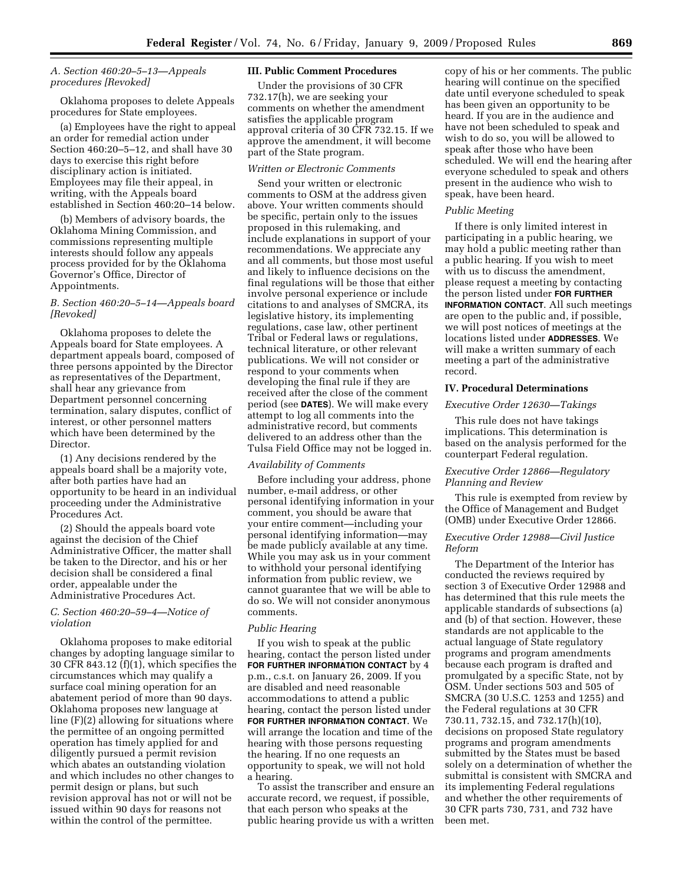# *A. Section 460:20–5–13—Appeals procedures [Revoked]*

Oklahoma proposes to delete Appeals procedures for State employees.

(a) Employees have the right to appeal an order for remedial action under Section 460:20–5–12, and shall have 30 days to exercise this right before disciplinary action is initiated. Employees may file their appeal, in writing, with the Appeals board established in Section 460:20–14 below.

(b) Members of advisory boards, the Oklahoma Mining Commission, and commissions representing multiple interests should follow any appeals process provided for by the Oklahoma Governor's Office, Director of Appointments.

# *B. Section 460:20–5–14—Appeals board [Revoked]*

Oklahoma proposes to delete the Appeals board for State employees. A department appeals board, composed of three persons appointed by the Director as representatives of the Department, shall hear any grievance from Department personnel concerning termination, salary disputes, conflict of interest, or other personnel matters which have been determined by the Director.

(1) Any decisions rendered by the appeals board shall be a majority vote, after both parties have had an opportunity to be heard in an individual proceeding under the Administrative Procedures Act.

(2) Should the appeals board vote against the decision of the Chief Administrative Officer, the matter shall be taken to the Director, and his or her decision shall be considered a final order, appealable under the Administrative Procedures Act.

# *C. Section 460:20–59–4—Notice of violation*

Oklahoma proposes to make editorial changes by adopting language similar to 30 CFR 843.12 (f)(1), which specifies the circumstances which may qualify a surface coal mining operation for an abatement period of more than 90 days. Oklahoma proposes new language at line (F)(2) allowing for situations where the permittee of an ongoing permitted operation has timely applied for and diligently pursued a permit revision which abates an outstanding violation and which includes no other changes to permit design or plans, but such revision approval has not or will not be issued within 90 days for reasons not within the control of the permittee.

## **III. Public Comment Procedures**

Under the provisions of 30 CFR 732.17(h), we are seeking your comments on whether the amendment satisfies the applicable program approval criteria of 30 CFR 732.15. If we approve the amendment, it will become part of the State program.

#### *Written or Electronic Comments*

Send your written or electronic comments to OSM at the address given above. Your written comments should be specific, pertain only to the issues proposed in this rulemaking, and include explanations in support of your recommendations. We appreciate any and all comments, but those most useful and likely to influence decisions on the final regulations will be those that either involve personal experience or include citations to and analyses of SMCRA, its legislative history, its implementing regulations, case law, other pertinent Tribal or Federal laws or regulations, technical literature, or other relevant publications. We will not consider or respond to your comments when developing the final rule if they are received after the close of the comment period (see **DATES**). We will make every attempt to log all comments into the administrative record, but comments delivered to an address other than the Tulsa Field Office may not be logged in.

#### *Availability of Comments*

Before including your address, phone number, e-mail address, or other personal identifying information in your comment, you should be aware that your entire comment—including your personal identifying information—may be made publicly available at any time. While you may ask us in your comment to withhold your personal identifying information from public review, we cannot guarantee that we will be able to do so. We will not consider anonymous comments.

#### *Public Hearing*

If you wish to speak at the public hearing, contact the person listed under **FOR FURTHER INFORMATION CONTACT** by 4 p.m., c.s.t. on January 26, 2009. If you are disabled and need reasonable accommodations to attend a public hearing, contact the person listed under **FOR FURTHER INFORMATION CONTACT**. We will arrange the location and time of the hearing with those persons requesting the hearing. If no one requests an opportunity to speak, we will not hold a hearing.

To assist the transcriber and ensure an accurate record, we request, if possible, that each person who speaks at the public hearing provide us with a written

copy of his or her comments. The public hearing will continue on the specified date until everyone scheduled to speak has been given an opportunity to be heard. If you are in the audience and have not been scheduled to speak and wish to do so, you will be allowed to speak after those who have been scheduled. We will end the hearing after everyone scheduled to speak and others present in the audience who wish to speak, have been heard.

#### *Public Meeting*

If there is only limited interest in participating in a public hearing, we may hold a public meeting rather than a public hearing. If you wish to meet with us to discuss the amendment, please request a meeting by contacting the person listed under **FOR FURTHER INFORMATION CONTACT**. All such meetings are open to the public and, if possible, we will post notices of meetings at the locations listed under **ADDRESSES**. We will make a written summary of each meeting a part of the administrative record.

### **IV. Procedural Determinations**

## *Executive Order 12630—Takings*

This rule does not have takings implications. This determination is based on the analysis performed for the counterpart Federal regulation.

## *Executive Order 12866—Regulatory Planning and Review*

This rule is exempted from review by the Office of Management and Budget (OMB) under Executive Order 12866.

### *Executive Order 12988—Civil Justice Reform*

The Department of the Interior has conducted the reviews required by section 3 of Executive Order 12988 and has determined that this rule meets the applicable standards of subsections (a) and (b) of that section. However, these standards are not applicable to the actual language of State regulatory programs and program amendments because each program is drafted and promulgated by a specific State, not by OSM. Under sections 503 and 505 of SMCRA (30 U.S.C. 1253 and 1255) and the Federal regulations at 30 CFR 730.11, 732.15, and 732.17(h)(10), decisions on proposed State regulatory programs and program amendments submitted by the States must be based solely on a determination of whether the submittal is consistent with SMCRA and its implementing Federal regulations and whether the other requirements of 30 CFR parts 730, 731, and 732 have been met.